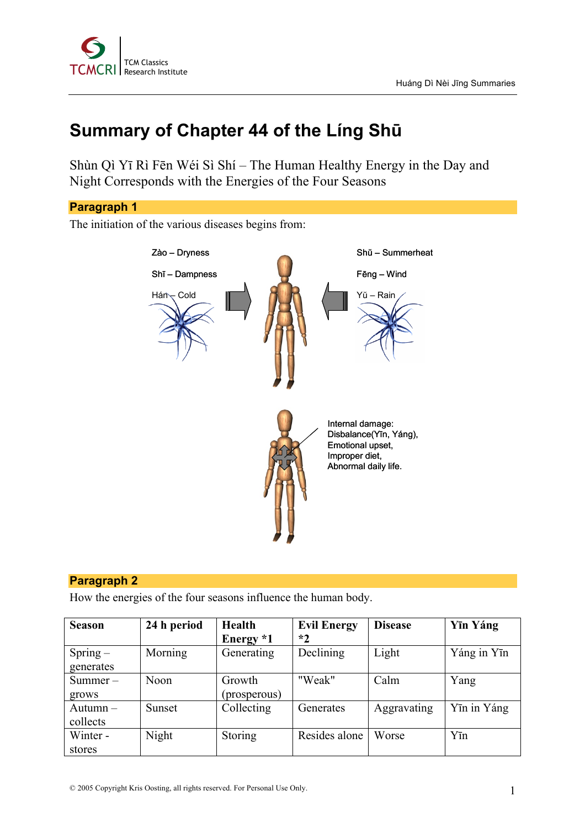

# **Summary of Chapter 44 of the Líng Shū**

Shùn Qì Yī Rì Fēn Wéi Sì Shí – The Human Healthy Energy in the Day and Night Corresponds with the Energies of the Four Seasons



## **Paragraph 2**

How the energies of the four seasons influence the human body.

| <b>Season</b> | 24 h period | <b>Health</b> | <b>Evil Energy</b> | <b>Disease</b> | Yīn Yáng    |
|---------------|-------------|---------------|--------------------|----------------|-------------|
|               |             | Energy *1     | $*2$               |                |             |
| $Spring-$     | Morning     | Generating    | Declining          | Light          | Yáng in Yīn |
| generates     |             |               |                    |                |             |
| $Summer -$    | <b>Noon</b> | Growth        | "Weak"             | Calm           | Yang        |
| grows         |             | (prosperous)  |                    |                |             |
| Autumn $-$    | Sunset      | Collecting    | Generates          | Aggravating    | Yīn in Yáng |
| collects      |             |               |                    |                |             |
| Winter -      | Night       | Storing       | Resides alone      | Worse          | Yīn         |
| stores        |             |               |                    |                |             |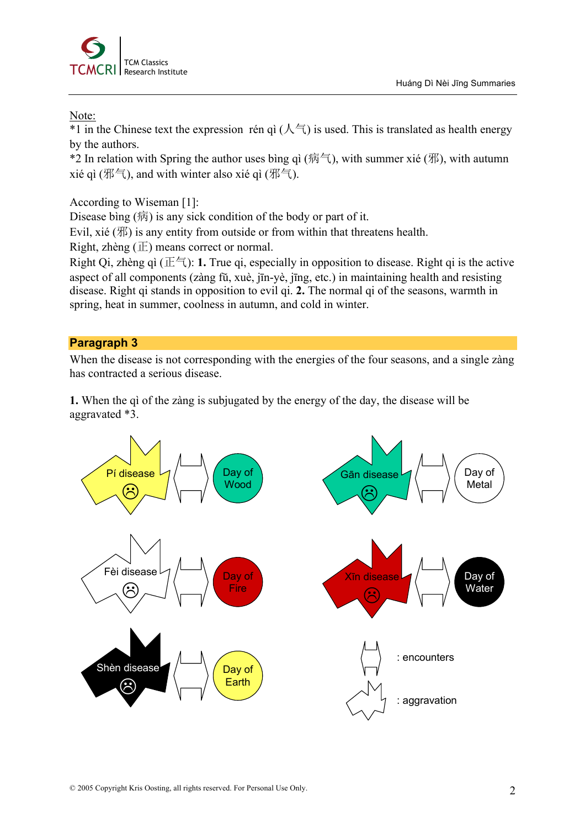

### Note:

<sup>\*1</sup> in the Chinese text the expression rén qì ( $\overline{\wedge}$ ) is used. This is translated as health energy by the authors.

<sup>\*2</sup> In relation with Spring the author uses bing qì (病气), with summer xié (邪), with autumn xié qì (邪气), and with winter also xié qì (邪气).

According to Wiseman [1]:

Disease bìng (病) is any sick condition of the body or part of it.

Evil, xié  $(\mathcal{H})$  is any entity from outside or from within that threatens health.

Right, zhèng (正) means correct or normal.

Right Qi, zhèng qì (正气): **1.** True qi, especially in opposition to disease. Right qi is the active aspect of all components (zàng fŭ, xuè, jīn-yè, jīng, etc.) in maintaining health and resisting disease. Right qi stands in opposition to evil qi. **2.** The normal qi of the seasons, warmth in spring, heat in summer, coolness in autumn, and cold in winter.

#### **Paragraph 3**

When the disease is not corresponding with the energies of the four seasons, and a single zàng has contracted a serious disease.

**1.** When the qì of the zàng is subjugated by the energy of the day, the disease will be aggravated \*3.

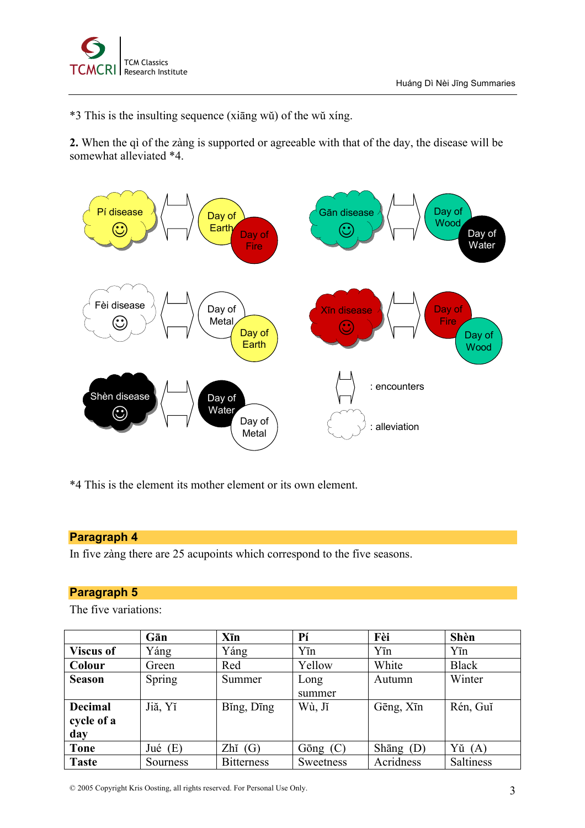

\*3 This is the insulting sequence (xiāng wŭ) of the wŭ xíng.

**2.** When the qì of the zàng is supported or agreeable with that of the day, the disease will be somewhat alleviated \*4.



\*4 This is the element its mother element or its own element.

### **Paragraph 4**

In five zàng there are 25 acupoints which correspond to the five seasons.

### **Paragraph 5**

The five variations:

|                   | Gān        | Xīn               | Pí             | Fèi         | Shèn             |
|-------------------|------------|-------------------|----------------|-------------|------------------|
| <b>Viscus of</b>  | Yáng       | Yáng              | Yīn            | Yīn         | Yīn              |
| Colour            | Green      | Red               | Yellow         | White       | <b>Black</b>     |
| <b>Season</b>     | Spring     | Summer            | Long<br>summer | Autumn      | Winter           |
| <b>Decimal</b>    | Jiă, Yĭ    | Bing, Ding        | Wù, Jĩ         | Gēng, Xīn   | Rén, Guĭ         |
| cycle of a<br>day |            |                   |                |             |                  |
| <b>Tone</b>       | (E)<br>Jué | $Zh$ ĭ $(G)$      | Gōng $(C)$     | Shāng $(D)$ | Yŭ<br>(A)        |
| <b>Taste</b>      | Sourness   | <b>Bitterness</b> | Sweetness      | Acridness   | <b>Saltiness</b> |

© 2005 Copyright Kris Oosting, all rights reserved. For Personal Use Only. 3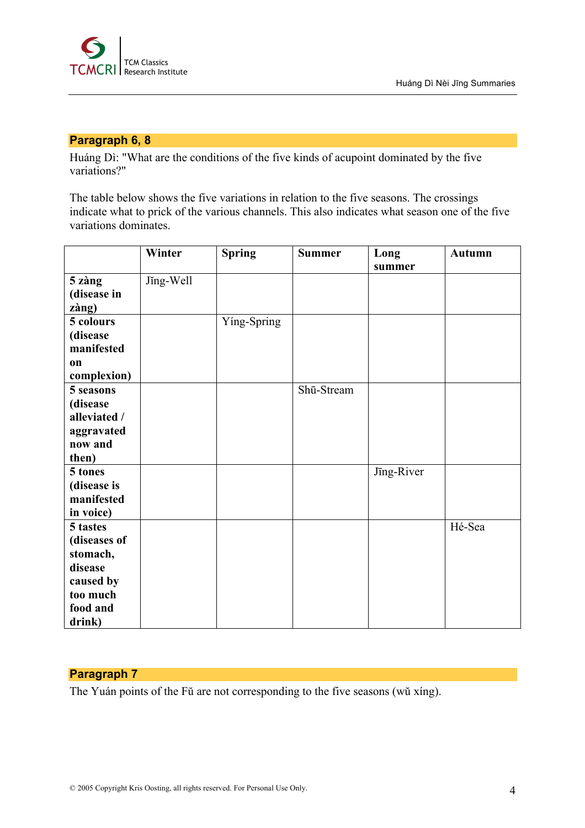

#### **Paragraph 6, 8**

Huáng Dì: "What are the conditions of the five kinds of acupoint dominated by the five variations?"

The table below shows the five variations in relation to the five seasons. The crossings indicate what to prick of the various channels. This also indicates what season one of the five variations dominates.

|              | Winter    | <b>Spring</b> | <b>Summer</b> | Long       | <b>Autumn</b> |
|--------------|-----------|---------------|---------------|------------|---------------|
|              |           |               |               | summer     |               |
| 5 zàng       | Jing-Well |               |               |            |               |
| (disease in  |           |               |               |            |               |
| zàng)        |           |               |               |            |               |
| 5 colours    |           | Ying-Spring   |               |            |               |
| (disease     |           |               |               |            |               |
| manifested   |           |               |               |            |               |
| on           |           |               |               |            |               |
| complexion)  |           |               |               |            |               |
| 5 seasons    |           |               | Shū-Stream    |            |               |
| (disease     |           |               |               |            |               |
| alleviated / |           |               |               |            |               |
| aggravated   |           |               |               |            |               |
| now and      |           |               |               |            |               |
| then)        |           |               |               |            |               |
| 5 tones      |           |               |               | Jīng-River |               |
| (disease is  |           |               |               |            |               |
| manifested   |           |               |               |            |               |
| in voice)    |           |               |               |            |               |
| 5 tastes     |           |               |               |            | Hé-Sea        |
| (diseases of |           |               |               |            |               |
| stomach,     |           |               |               |            |               |
| disease      |           |               |               |            |               |
| caused by    |           |               |               |            |               |
| too much     |           |               |               |            |               |
| food and     |           |               |               |            |               |
| drink)       |           |               |               |            |               |

# **Paragraph 7**

The Yuán points of the Fŭ are not corresponding to the five seasons (wŭ xíng).